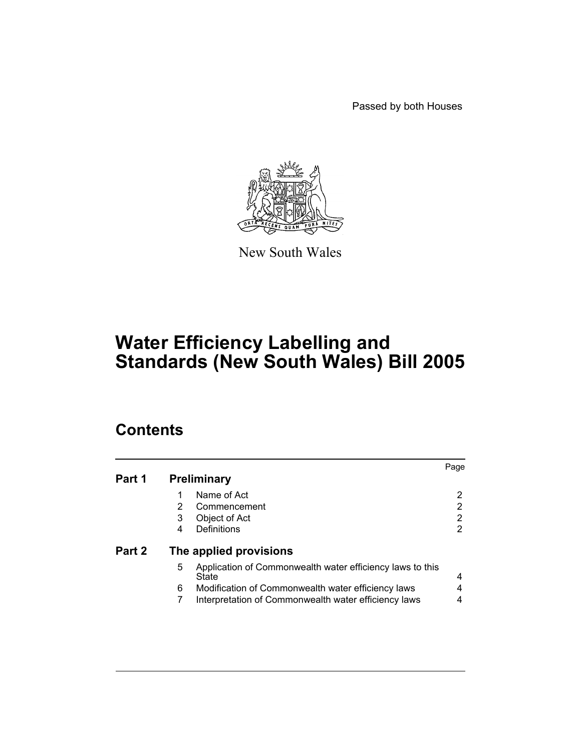Passed by both Houses



New South Wales

# **Water Efficiency Labelling and Standards (New South Wales) Bill 2005**

# **Contents**

| Part 1 | <b>Preliminary</b>                                                                                                                                                                         | Page             |
|--------|--------------------------------------------------------------------------------------------------------------------------------------------------------------------------------------------|------------------|
|        | Name of Act<br>1<br>2<br>Commencement<br>Object of Act<br>3<br>Definitions<br>4                                                                                                            | 2<br>2<br>2<br>2 |
| Part 2 | The applied provisions                                                                                                                                                                     |                  |
|        | Application of Commonwealth water efficiency laws to this<br>5<br>State<br>Modification of Commonwealth water efficiency laws<br>6<br>Interpretation of Commonwealth water efficiency laws | 4<br>4<br>4      |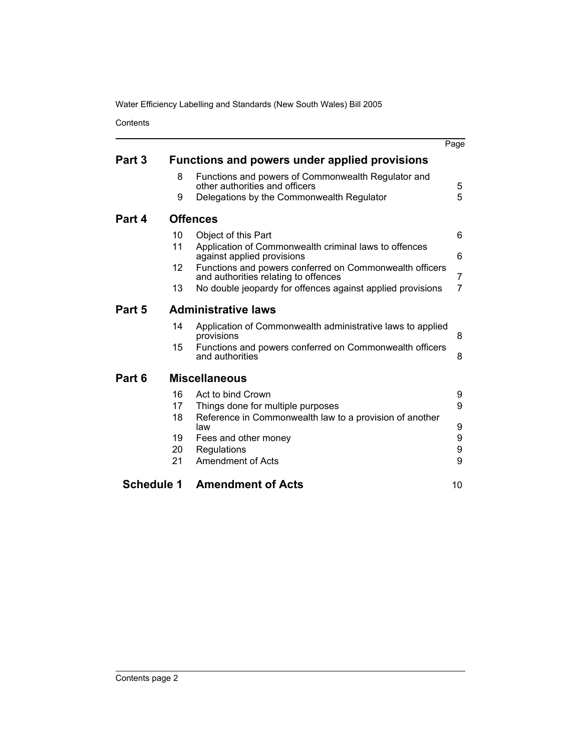Water Efficiency Labelling and Standards (New South Wales) Bill 2005

**Contents** 

| <b>Schedule 1</b>              |                            | <b>Amendment of Acts</b>                                                                                                                               | 10                  |
|--------------------------------|----------------------------|--------------------------------------------------------------------------------------------------------------------------------------------------------|---------------------|
|                                | 19<br>20<br>21             | Fees and other money<br>Regulations<br><b>Amendment of Acts</b>                                                                                        | 9<br>9<br>9         |
|                                | 16<br>17<br>18             | Act to bind Crown<br>Things done for multiple purposes<br>Reference in Commonwealth law to a provision of another<br>law                               | 9<br>9<br>9         |
| Part 6<br><b>Miscellaneous</b> |                            |                                                                                                                                                        |                     |
|                                | 14<br>15                   | Application of Commonwealth administrative laws to applied<br>provisions<br>Functions and powers conferred on Commonwealth officers<br>and authorities | 8<br>8              |
| Part 5                         | <b>Administrative laws</b> |                                                                                                                                                        |                     |
|                                | 13                         | No double jeopardy for offences against applied provisions                                                                                             | $\overline{7}$      |
|                                | 12                         | against applied provisions<br>Functions and powers conferred on Commonwealth officers<br>and authorities relating to offences                          | 6<br>$\overline{7}$ |
|                                | 10<br>11                   | Object of this Part<br>Application of Commonwealth criminal laws to offences                                                                           | 6                   |
| Part 4<br><b>Offences</b>      |                            |                                                                                                                                                        |                     |
|                                | 9                          | Delegations by the Commonwealth Regulator                                                                                                              | 5                   |
|                                | 8                          | Functions and powers of Commonwealth Regulator and<br>other authorities and officers                                                                   | 5                   |
| Part 3                         |                            | <b>Functions and powers under applied provisions</b>                                                                                                   |                     |
|                                |                            |                                                                                                                                                        | Page                |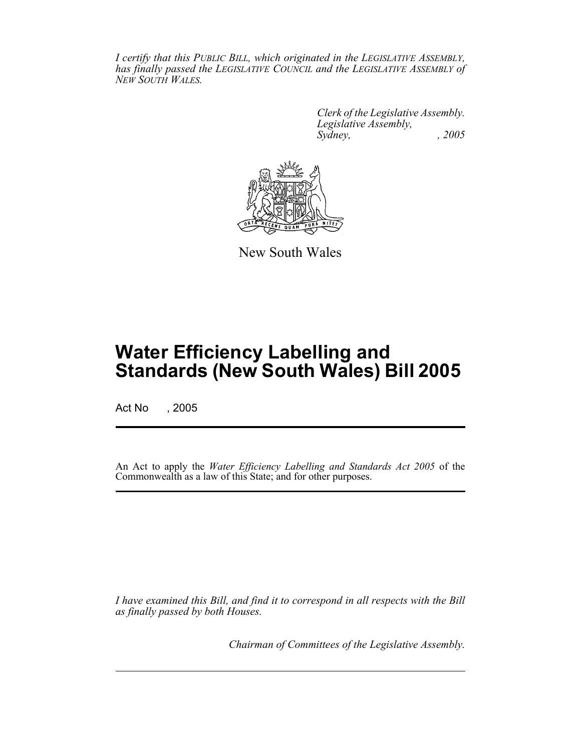*I certify that this PUBLIC BILL, which originated in the LEGISLATIVE ASSEMBLY, has finally passed the LEGISLATIVE COUNCIL and the LEGISLATIVE ASSEMBLY of NEW SOUTH WALES.*

> *Clerk of the Legislative Assembly. Legislative Assembly, Sydney, , 2005*



New South Wales

# **Water Efficiency Labelling and Standards (New South Wales) Bill 2005**

Act No , 2005

An Act to apply the *Water Efficiency Labelling and Standards Act 2005* of the Commonwealth as a law of this State; and for other purposes.

*I have examined this Bill, and find it to correspond in all respects with the Bill as finally passed by both Houses.*

*Chairman of Committees of the Legislative Assembly.*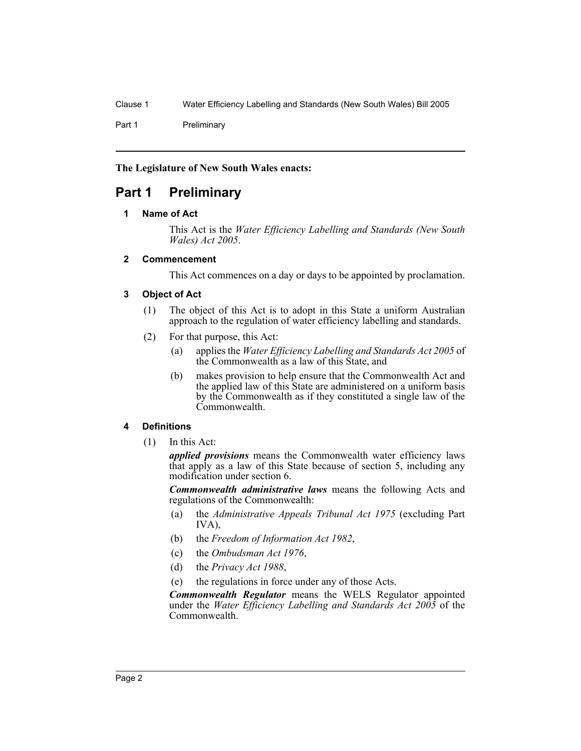Clause 1 Water Efficiency Labelling and Standards (New South Wales) Bill 2005

Part 1 Preliminary

# **The Legislature of New South Wales enacts:**

# **Part 1 Preliminary**

# **1 Name of Act**

This Act is the *Water Efficiency Labelling and Standards (New South Wales) Act 2005*.

# **2 Commencement**

This Act commences on a day or days to be appointed by proclamation.

# **3 Object of Act**

- (1) The object of this Act is to adopt in this State a uniform Australian approach to the regulation of water efficiency labelling and standards.
- (2) For that purpose, this Act:
	- (a) applies the *Water Efficiency Labelling and Standards Act 2005* of the Commonwealth as a law of this State, and
	- (b) makes provision to help ensure that the Commonwealth Act and the applied law of this State are administered on a uniform basis by the Commonwealth as if they constituted a single law of the Commonwealth.

# **4 Definitions**

(1) In this Act:

*applied provisions* means the Commonwealth water efficiency laws that apply as a law of this State because of section 5, including any modification under section 6.

*Commonwealth administrative laws* means the following Acts and regulations of the Commonwealth:

- (a) the *Administrative Appeals Tribunal Act 1975* (excluding Part IVA),
- (b) the *Freedom of Information Act 1982*,
- (c) the *Ombudsman Act 1976*,
- (d) the *Privacy Act 1988*,
- (e) the regulations in force under any of those Acts.

*Commonwealth Regulator* means the WELS Regulator appointed under the *Water Efficiency Labelling and Standards Act 2005* of the Commonwealth.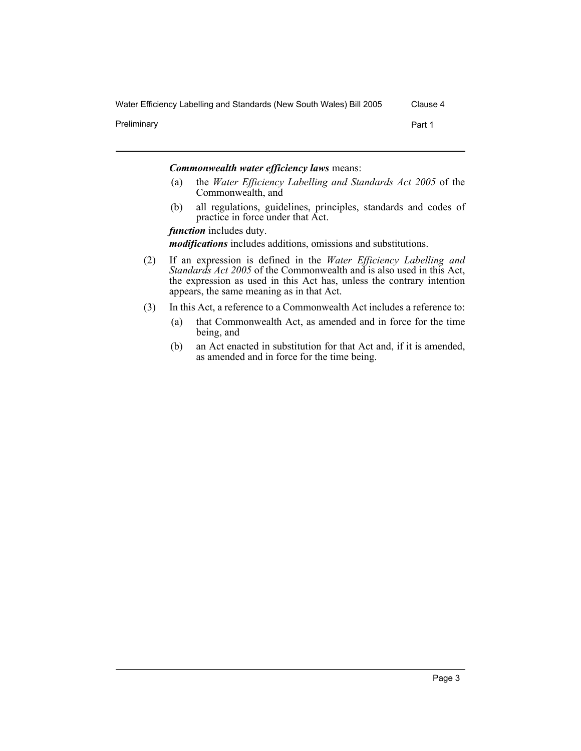Water Efficiency Labelling and Standards (New South Wales) Bill 2005 Clause 4

Preliminary **Part 1** 

*Commonwealth water efficiency laws* means:

- (a) the *Water Efficiency Labelling and Standards Act 2005* of the Commonwealth, and
- (b) all regulations, guidelines, principles, standards and codes of practice in force under that Act.

*function* includes duty.

*modifications* includes additions, omissions and substitutions.

- (2) If an expression is defined in the *Water Efficiency Labelling and Standards Act 2005* of the Commonwealth and is also used in this Act, the expression as used in this Act has, unless the contrary intention appears, the same meaning as in that Act.
- (3) In this Act, a reference to a Commonwealth Act includes a reference to:
	- (a) that Commonwealth Act, as amended and in force for the time being, and
	- (b) an Act enacted in substitution for that Act and, if it is amended, as amended and in force for the time being.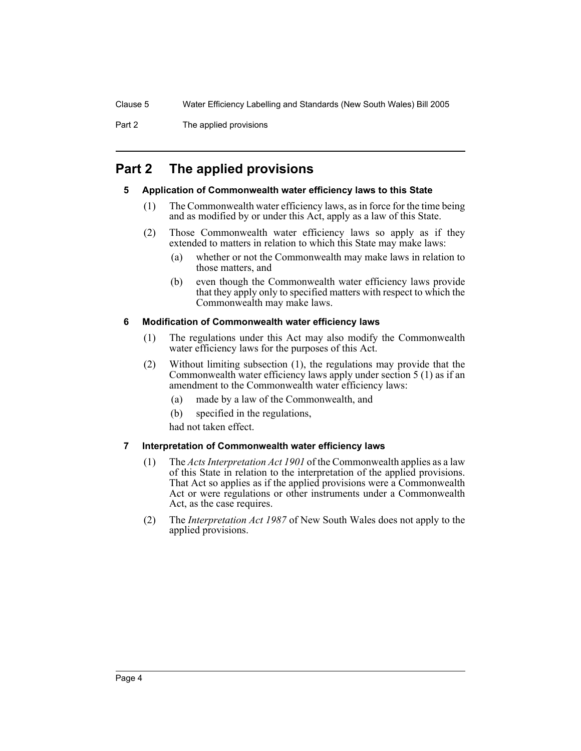Part 2 The applied provisions

# **Part 2 The applied provisions**

# **5 Application of Commonwealth water efficiency laws to this State**

- (1) The Commonwealth water efficiency laws, as in force for the time being and as modified by or under this Act, apply as a law of this State.
- (2) Those Commonwealth water efficiency laws so apply as if they extended to matters in relation to which this State may make laws:
	- (a) whether or not the Commonwealth may make laws in relation to those matters, and
	- (b) even though the Commonwealth water efficiency laws provide that they apply only to specified matters with respect to which the Commonwealth may make laws.

## **6 Modification of Commonwealth water efficiency laws**

- (1) The regulations under this Act may also modify the Commonwealth water efficiency laws for the purposes of this Act.
- (2) Without limiting subsection (1), the regulations may provide that the Commonwealth water efficiency laws apply under section 5 (1) as if an amendment to the Commonwealth water efficiency laws:
	- (a) made by a law of the Commonwealth, and
	- (b) specified in the regulations,

had not taken effect.

# **7 Interpretation of Commonwealth water efficiency laws**

- (1) The *Acts Interpretation Act 1901* of the Commonwealth applies as a law of this State in relation to the interpretation of the applied provisions. That Act so applies as if the applied provisions were a Commonwealth Act or were regulations or other instruments under a Commonwealth Act, as the case requires.
- (2) The *Interpretation Act 1987* of New South Wales does not apply to the applied provisions.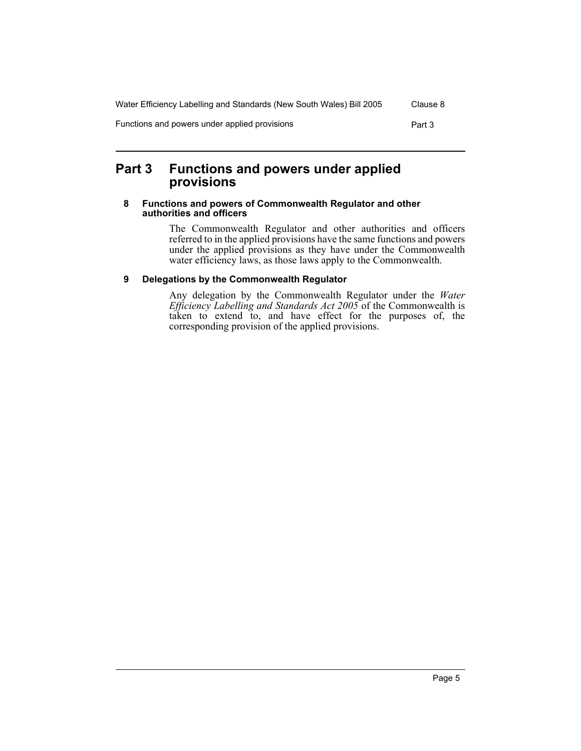| Water Efficiency Labelling and Standards (New South Wales) Bill 2005 | Clause 8 |
|----------------------------------------------------------------------|----------|
| Functions and powers under applied provisions                        | Part 3   |

# **Part 3 Functions and powers under applied provisions**

#### **8 Functions and powers of Commonwealth Regulator and other authorities and officers**

The Commonwealth Regulator and other authorities and officers referred to in the applied provisions have the same functions and powers under the applied provisions as they have under the Commonwealth water efficiency laws, as those laws apply to the Commonwealth.

# **9 Delegations by the Commonwealth Regulator**

Any delegation by the Commonwealth Regulator under the *Water Efficiency Labelling and Standards Act 2005* of the Commonwealth is taken to extend to, and have effect for the purposes of, the corresponding provision of the applied provisions.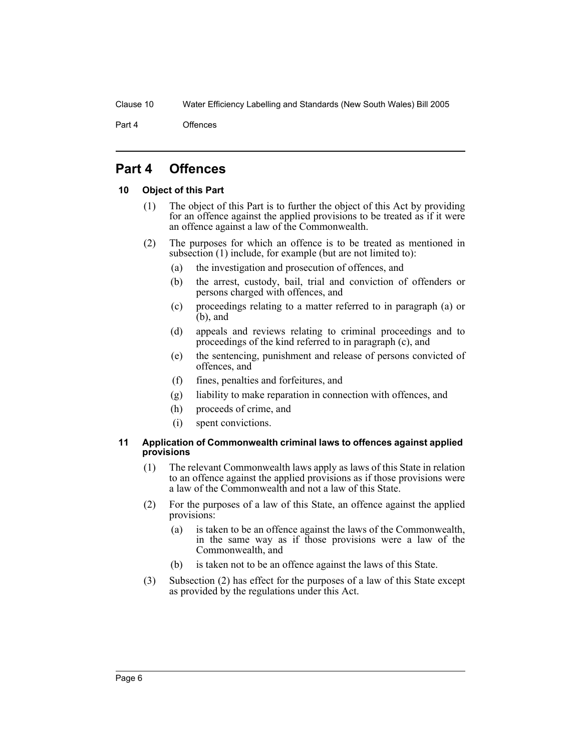Part 4 Offences

# **Part 4 Offences**

# **10 Object of this Part**

- (1) The object of this Part is to further the object of this Act by providing for an offence against the applied provisions to be treated as if it were an offence against a law of the Commonwealth.
- (2) The purposes for which an offence is to be treated as mentioned in subsection (1) include, for example (but are not limited to):
	- (a) the investigation and prosecution of offences, and
	- (b) the arrest, custody, bail, trial and conviction of offenders or persons charged with offences, and
	- (c) proceedings relating to a matter referred to in paragraph (a) or  $(b)$ , and
	- (d) appeals and reviews relating to criminal proceedings and to proceedings of the kind referred to in paragraph (c), and
	- (e) the sentencing, punishment and release of persons convicted of offences, and
	- (f) fines, penalties and forfeitures, and
	- (g) liability to make reparation in connection with offences, and
	- (h) proceeds of crime, and
	- (i) spent convictions.

### **11 Application of Commonwealth criminal laws to offences against applied provisions**

- (1) The relevant Commonwealth laws apply as laws of this State in relation to an offence against the applied provisions as if those provisions were a law of the Commonwealth and not a law of this State.
- (2) For the purposes of a law of this State, an offence against the applied provisions:
	- (a) is taken to be an offence against the laws of the Commonwealth, in the same way as if those provisions were a law of the Commonwealth, and
	- (b) is taken not to be an offence against the laws of this State.
- (3) Subsection (2) has effect for the purposes of a law of this State except as provided by the regulations under this Act.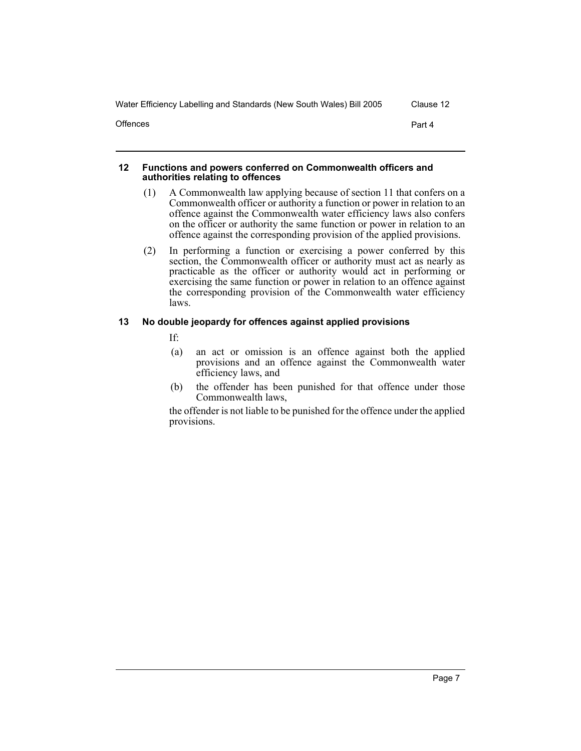| Water Efficiency Labelling and Standards (New South Wales) Bill 2005 | Clause 12 |
|----------------------------------------------------------------------|-----------|
| Offences                                                             | Part 4    |

## **12 Functions and powers conferred on Commonwealth officers and authorities relating to offences**

- (1) A Commonwealth law applying because of section 11 that confers on a Commonwealth officer or authority a function or power in relation to an offence against the Commonwealth water efficiency laws also confers on the officer or authority the same function or power in relation to an offence against the corresponding provision of the applied provisions.
- (2) In performing a function or exercising a power conferred by this section, the Commonwealth officer or authority must act as nearly as practicable as the officer or authority would act in performing or exercising the same function or power in relation to an offence against the corresponding provision of the Commonwealth water efficiency laws.

# **13 No double jeopardy for offences against applied provisions**

If:

- (a) an act or omission is an offence against both the applied provisions and an offence against the Commonwealth water efficiency laws, and
- (b) the offender has been punished for that offence under those Commonwealth laws,

the offender is not liable to be punished for the offence under the applied provisions.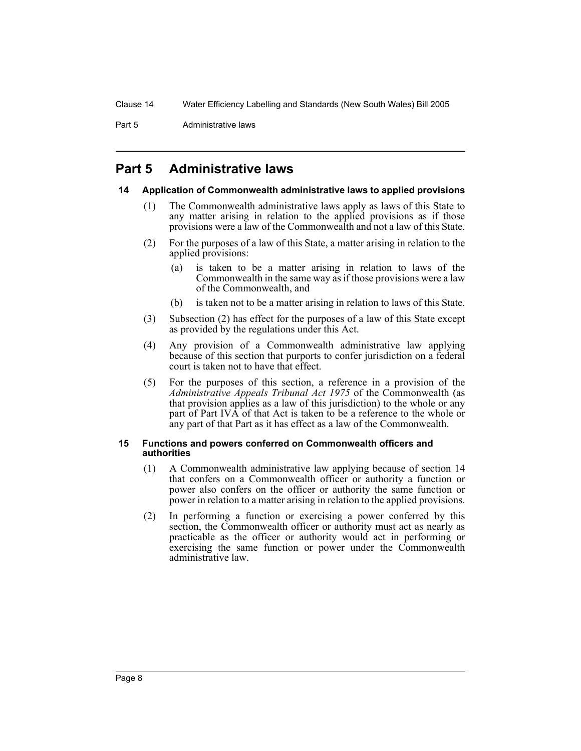Part 5 **Administrative laws** 

# **Part 5 Administrative laws**

### **14 Application of Commonwealth administrative laws to applied provisions**

- (1) The Commonwealth administrative laws apply as laws of this State to any matter arising in relation to the applied provisions as if those provisions were a law of the Commonwealth and not a law of this State.
- (2) For the purposes of a law of this State, a matter arising in relation to the applied provisions:
	- (a) is taken to be a matter arising in relation to laws of the Commonwealth in the same way as if those provisions were a law of the Commonwealth, and
	- (b) is taken not to be a matter arising in relation to laws of this State.
- (3) Subsection (2) has effect for the purposes of a law of this State except as provided by the regulations under this Act.
- (4) Any provision of a Commonwealth administrative law applying because of this section that purports to confer jurisdiction on a federal court is taken not to have that effect.
- (5) For the purposes of this section, a reference in a provision of the *Administrative Appeals Tribunal Act 1975* of the Commonwealth (as that provision applies as a law of this jurisdiction) to the whole or any part of Part IV $\hat{A}$  of that Act is taken to be a reference to the whole or any part of that Part as it has effect as a law of the Commonwealth.

### **15 Functions and powers conferred on Commonwealth officers and authorities**

- (1) A Commonwealth administrative law applying because of section 14 that confers on a Commonwealth officer or authority a function or power also confers on the officer or authority the same function or power in relation to a matter arising in relation to the applied provisions.
- (2) In performing a function or exercising a power conferred by this section, the Commonwealth officer or authority must act as nearly as practicable as the officer or authority would act in performing or exercising the same function or power under the Commonwealth administrative law.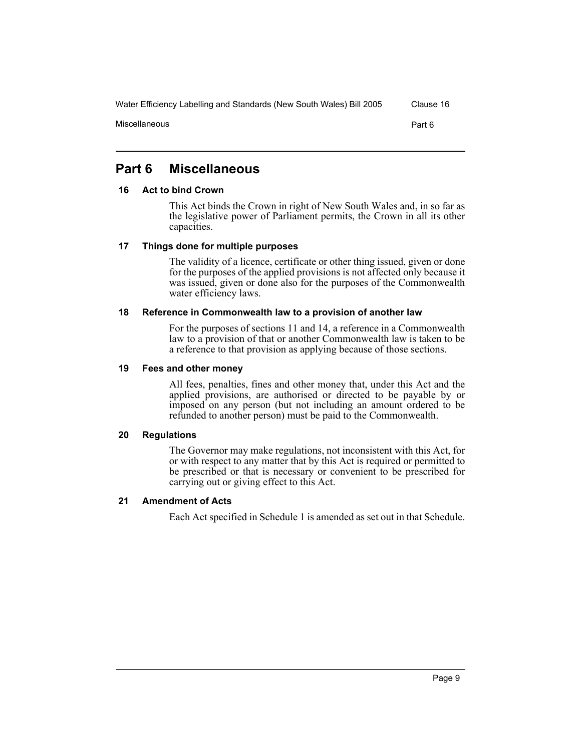Water Efficiency Labelling and Standards (New South Wales) Bill 2005 Clause 16

# **Part 6 Miscellaneous**

### **16 Act to bind Crown**

This Act binds the Crown in right of New South Wales and, in so far as the legislative power of Parliament permits, the Crown in all its other capacities.

## **17 Things done for multiple purposes**

The validity of a licence, certificate or other thing issued, given or done for the purposes of the applied provisions is not affected only because it was issued, given or done also for the purposes of the Commonwealth water efficiency laws.

## **18 Reference in Commonwealth law to a provision of another law**

For the purposes of sections 11 and 14, a reference in a Commonwealth law to a provision of that or another Commonwealth law is taken to be a reference to that provision as applying because of those sections.

## **19 Fees and other money**

All fees, penalties, fines and other money that, under this Act and the applied provisions, are authorised or directed to be payable by or imposed on any person (but not including an amount ordered to be refunded to another person) must be paid to the Commonwealth.

### **20 Regulations**

The Governor may make regulations, not inconsistent with this Act, for or with respect to any matter that by this Act is required or permitted to be prescribed or that is necessary or convenient to be prescribed for carrying out or giving effect to this Act.

### **21 Amendment of Acts**

Each Act specified in Schedule 1 is amended as set out in that Schedule.